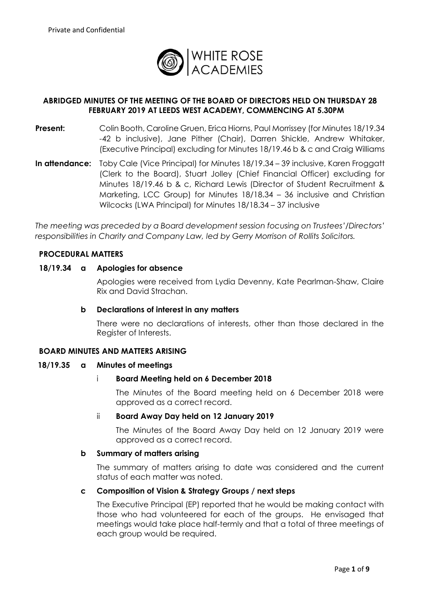

# **ABRIDGED MINUTES OF THE MEETING OF THE BOARD OF DIRECTORS HELD ON THURSDAY 28 FEBRUARY 2019 AT LEEDS WEST ACADEMY, COMMENCING AT 5.30PM**

- **Present:** Colin Booth, Caroline Gruen, Erica Hiorns, Paul Morrissey (for Minutes 18/19.34 -42 b inclusive), Jane Pither (Chair), Darren Shickle, Andrew Whitaker, (Executive Principal) excluding for Minutes 18/19.46 b & c and Craig Williams
- **In attendance:** Toby Cale (Vice Principal) for Minutes 18/19.34 39 inclusive, Karen Froggatt (Clerk to the Board), Stuart Jolley (Chief Financial Officer) excluding for Minutes 18/19.46 b & c, Richard Lewis (Director of Student Recruitment & Marketing, LCC Group) for Minutes 18/18.34 – 36 inclusive and Christian Wilcocks (LWA Principal) for Minutes 18/18.34 – 37 inclusive

*The meeting was preceded by a Board development session focusing on Trustees'/Directors' responsibilities in Charity and Company Law, led by Gerry Morrison of Rollits Solicitors.*

# **PROCEDURAL MATTERS**

### **18/19.34 a Apologies for absence**

Apologies were received from Lydia Devenny, Kate Pearlman-Shaw, Claire Rix and David Strachan.

### **b Declarations of interest in any matters**

There were no declarations of interests, other than those declared in the Register of Interests.

### **BOARD MINUTES AND MATTERS ARISING**

### **18/19.35 a Minutes of meetings**

### i **Board Meeting held on 6 December 2018**

The Minutes of the Board meeting held on 6 December 2018 were approved as a correct record.

### ii **Board Away Day held on 12 January 2019**

The Minutes of the Board Away Day held on 12 January 2019 were approved as a correct record.

### **b Summary of matters arising**

The summary of matters arising to date was considered and the current status of each matter was noted.

### **c Composition of Vision & Strategy Groups / next steps**

The Executive Principal (EP) reported that he would be making contact with those who had volunteered for each of the groups. He envisaged that meetings would take place half-termly and that a total of three meetings of each group would be required.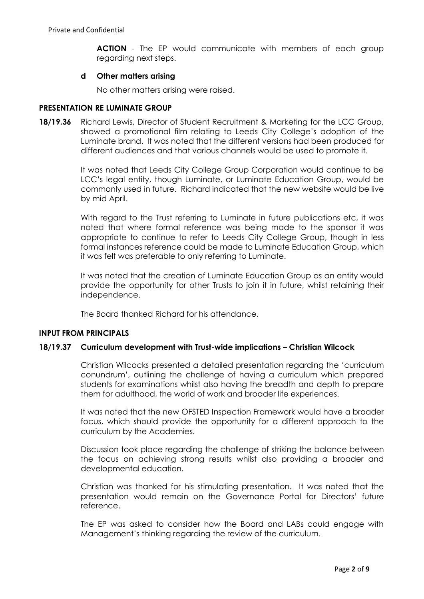**ACTION** - The EP would communicate with members of each group regarding next steps.

### **d Other matters arising**

No other matters arising were raised.

#### **PRESENTATION RE LUMINATE GROUP**

**18/19.36** Richard Lewis, Director of Student Recruitment & Marketing for the LCC Group, showed a promotional film relating to Leeds City College's adoption of the Luminate brand. It was noted that the different versions had been produced for different audiences and that various channels would be used to promote it.

> It was noted that Leeds City College Group Corporation would continue to be LCC's legal entity, though Luminate, or Luminate Education Group, would be commonly used in future. Richard indicated that the new website would be live by mid April.

> With regard to the Trust referring to Luminate in future publications etc, it was noted that where formal reference was being made to the sponsor it was appropriate to continue to refer to Leeds City College Group, though in less formal instances reference could be made to Luminate Education Group, which it was felt was preferable to only referring to Luminate.

> It was noted that the creation of Luminate Education Group as an entity would provide the opportunity for other Trusts to join it in future, whilst retaining their independence.

The Board thanked Richard for his attendance.

### **INPUT FROM PRINCIPALS**

### **18/19.37 Curriculum development with Trust-wide implications – Christian Wilcock**

Christian Wilcocks presented a detailed presentation regarding the 'curriculum conundrum', outlining the challenge of having a curriculum which prepared students for examinations whilst also having the breadth and depth to prepare them for adulthood, the world of work and broader life experiences.

It was noted that the new OFSTED Inspection Framework would have a broader focus, which should provide the opportunity for a different approach to the curriculum by the Academies.

Discussion took place regarding the challenge of striking the balance between the focus on achieving strong results whilst also providing a broader and developmental education.

Christian was thanked for his stimulating presentation. It was noted that the presentation would remain on the Governance Portal for Directors' future reference.

The EP was asked to consider how the Board and LABs could engage with Management's thinking regarding the review of the curriculum.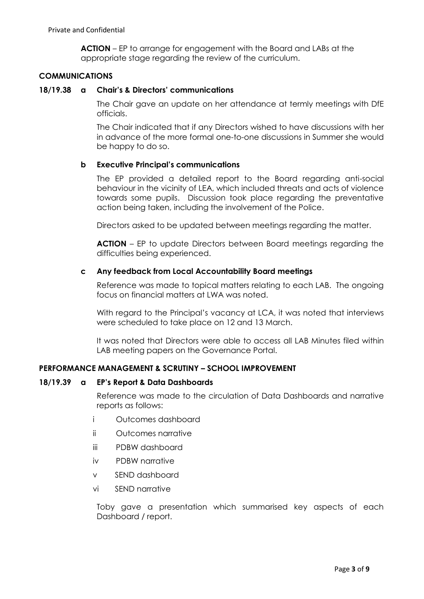**ACTION** – EP to arrange for engagement with the Board and LABs at the appropriate stage regarding the review of the curriculum.

# **COMMUNICATIONS**

### **18/19.38 a Chair's & Directors' communications**

The Chair gave an update on her attendance at termly meetings with DfE officials.

The Chair indicated that if any Directors wished to have discussions with her in advance of the more formal one-to-one discussions in Summer she would be happy to do so.

### **b Executive Principal's communications**

The EP provided a detailed report to the Board regarding anti-social behaviour in the vicinity of LEA, which included threats and acts of violence towards some pupils. Discussion took place regarding the preventative action being taken, including the involvement of the Police.

Directors asked to be updated between meetings regarding the matter.

**ACTION** – EP to update Directors between Board meetings regarding the difficulties being experienced.

### **c Any feedback from Local Accountability Board meetings**

Reference was made to topical matters relating to each LAB. The ongoing focus on financial matters at LWA was noted.

With regard to the Principal's vacancy at LCA, it was noted that interviews were scheduled to take place on 12 and 13 March.

It was noted that Directors were able to access all LAB Minutes filed within LAB meeting papers on the Governance Portal.

# **PERFORMANCE MANAGEMENT & SCRUTINY – SCHOOL IMPROVEMENT**

### **18/19.39 a EP's Report & Data Dashboards**

Reference was made to the circulation of Data Dashboards and narrative reports as follows:

- i Outcomes dashboard
- ii Outcomes narrative
- iii PDBW dashboard
- iv PDBW narrative
- v SEND dashboard
- vi SEND narrative

Toby gave a presentation which summarised key aspects of each Dashboard / report.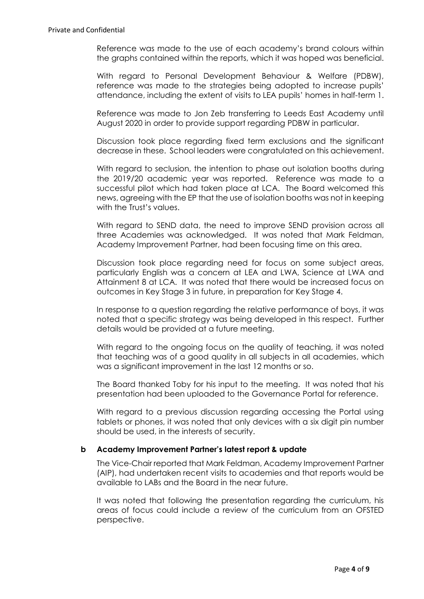Reference was made to the use of each academy's brand colours within the graphs contained within the reports, which it was hoped was beneficial.

With regard to Personal Development Behaviour & Welfare (PDBW), reference was made to the strategies being adopted to increase pupils' attendance, including the extent of visits to LEA pupils' homes in half-term 1.

Reference was made to Jon Zeb transferring to Leeds East Academy until August 2020 in order to provide support regarding PDBW in particular.

Discussion took place regarding fixed term exclusions and the significant decrease in these. School leaders were congratulated on this achievement.

With regard to seclusion, the intention to phase out isolation booths during the 2019/20 academic year was reported. Reference was made to a successful pilot which had taken place at LCA. The Board welcomed this news, agreeing with the EP that the use of isolation booths was not in keeping with the Trust's values.

With regard to SEND data, the need to improve SEND provision across all three Academies was acknowledged. It was noted that Mark Feldman, Academy Improvement Partner, had been focusing time on this area.

Discussion took place regarding need for focus on some subject areas, particularly English was a concern at LEA and LWA, Science at LWA and Attainment 8 at LCA. It was noted that there would be increased focus on outcomes in Key Stage 3 in future, in preparation for Key Stage 4.

In response to a question regarding the relative performance of boys, it was noted that a specific strategy was being developed in this respect. Further details would be provided at a future meeting.

With regard to the ongoing focus on the quality of teaching, it was noted that teaching was of a good quality in all subjects in all academies, which was a significant improvement in the last 12 months or so.

The Board thanked Toby for his input to the meeting. It was noted that his presentation had been uploaded to the Governance Portal for reference.

With regard to a previous discussion regarding accessing the Portal using tablets or phones, it was noted that only devices with a six digit pin number should be used, in the interests of security.

### **b Academy Improvement Partner's latest report & update**

The Vice-Chair reported that Mark Feldman, Academy Improvement Partner (AIP), had undertaken recent visits to academies and that reports would be available to LABs and the Board in the near future.

It was noted that following the presentation regarding the curriculum, his areas of focus could include a review of the curriculum from an OFSTED perspective.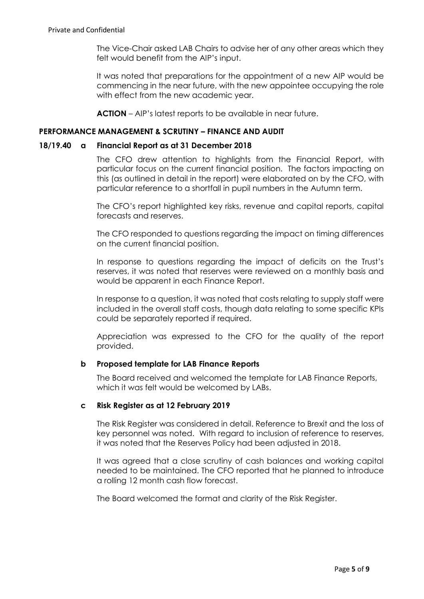The Vice-Chair asked LAB Chairs to advise her of any other areas which they felt would benefit from the AIP's input.

It was noted that preparations for the appointment of a new AIP would be commencing in the near future, with the new appointee occupying the role with effect from the new academic year.

**ACTION** – AIP's latest reports to be available in near future.

# **PERFORMANCE MANAGEMENT & SCRUTINY – FINANCE AND AUDIT**

### **18/19.40 a Financial Report as at 31 December 2018**

The CFO drew attention to highlights from the Financial Report, with particular focus on the current financial position. The factors impacting on this (as outlined in detail in the report) were elaborated on by the CFO, with particular reference to a shortfall in pupil numbers in the Autumn term.

The CFO's report highlighted key risks, revenue and capital reports, capital forecasts and reserves.

The CFO responded to questions regarding the impact on timing differences on the current financial position.

In response to questions regarding the impact of deficits on the Trust's reserves, it was noted that reserves were reviewed on a monthly basis and would be apparent in each Finance Report.

In response to a question, it was noted that costs relating to supply staff were included in the overall staff costs, though data relating to some specific KPIs could be separately reported if required.

Appreciation was expressed to the CFO for the quality of the report provided.

### **b Proposed template for LAB Finance Reports**

The Board received and welcomed the template for LAB Finance Reports, which it was felt would be welcomed by LABs.

# **c Risk Register as at 12 February 2019**

The Risk Register was considered in detail. Reference to Brexit and the loss of key personnel was noted. With regard to inclusion of reference to reserves, it was noted that the Reserves Policy had been adjusted in 2018.

It was agreed that a close scrutiny of cash balances and working capital needed to be maintained. The CFO reported that he planned to introduce a rolling 12 month cash flow forecast.

The Board welcomed the format and clarity of the Risk Register.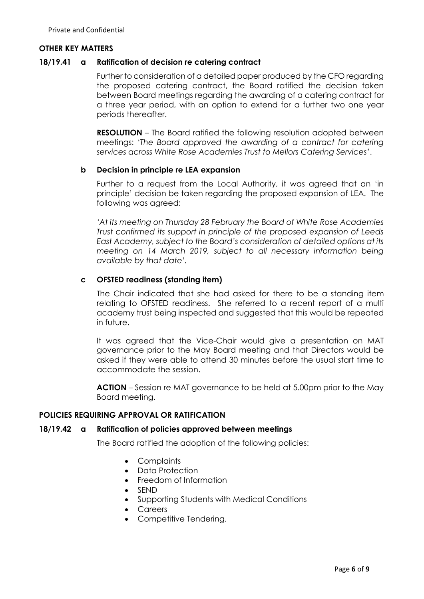#### **OTHER KEY MATTERS**

#### **18/19.41 a Ratification of decision re catering contract**

Further to consideration of a detailed paper produced by the CFO regarding the proposed catering contract, the Board ratified the decision taken between Board meetings regarding the awarding of a catering contract for a three year period, with an option to extend for a further two one year periods thereafter.

**RESOLUTION** – The Board ratified the following resolution adopted between meetings: '*The Board approved the awarding of a contract for catering services across White Rose Academies Trust to Mellors Catering Services'*.

### **b Decision in principle re LEA expansion**

Further to a request from the Local Authority, it was agreed that an 'in principle' decision be taken regarding the proposed expansion of LEA. The following was agreed:

*'At its meeting on Thursday 28 February the Board of White Rose Academies Trust confirmed its support in principle of the proposed expansion of Leeds East Academy, subject to the Board's consideration of detailed options at its meeting on 14 March 2019, subject to all necessary information being available by that date'.*

### **c OFSTED readiness (standing item)**

The Chair indicated that she had asked for there to be a standing item relating to OFSTED readiness. She referred to a recent report of a multi academy trust being inspected and suggested that this would be repeated in future.

It was agreed that the Vice-Chair would give a presentation on MAT governance prior to the May Board meeting and that Directors would be asked if they were able to attend 30 minutes before the usual start time to accommodate the session.

**ACTION** – Session re MAT governance to be held at 5.00pm prior to the May Board meeting.

#### **POLICIES REQUIRING APPROVAL OR RATIFICATION**

#### **18/19.42 a Ratification of policies approved between meetings**

The Board ratified the adoption of the following policies:

- Complaints
- Data Protection
- Freedom of Information
- SEND
- Supporting Students with Medical Conditions
- Careers
- Competitive Tendering.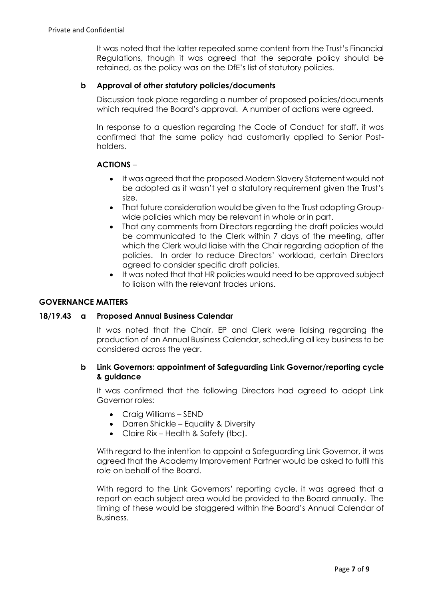It was noted that the latter repeated some content from the Trust's Financial Regulations, though it was agreed that the separate policy should be retained, as the policy was on the DfE's list of statutory policies.

# **b Approval of other statutory policies/documents**

Discussion took place regarding a number of proposed policies/documents which required the Board's approval. A number of actions were agreed.

In response to a question regarding the Code of Conduct for staff, it was confirmed that the same policy had customarily applied to Senior Postholders.

# **ACTIONS** –

- It was agreed that the proposed Modern Slavery Statement would not be adopted as it wasn't yet a statutory requirement given the Trust's size.
- That future consideration would be given to the Trust adopting Groupwide policies which may be relevant in whole or in part.
- That any comments from Directors regarding the draft policies would be communicated to the Clerk within 7 days of the meeting, after which the Clerk would liaise with the Chair regarding adoption of the policies. In order to reduce Directors' workload, certain Directors agreed to consider specific draft policies.
- It was noted that that HR policies would need to be approved subject to liaison with the relevant trades unions.

# **GOVERNANCE MATTERS**

### **18/19.43 a Proposed Annual Business Calendar**

It was noted that the Chair, EP and Clerk were liaising regarding the production of an Annual Business Calendar, scheduling all key business to be considered across the year.

# **b Link Governors: appointment of Safeguarding Link Governor/reporting cycle & guidance**

It was confirmed that the following Directors had agreed to adopt Link Governor roles:

- Craig Williams SEND
- Darren Shickle Equality & Diversity
- Claire Rix Health & Safety (tbc).

With regard to the intention to appoint a Safeguarding Link Governor, it was agreed that the Academy Improvement Partner would be asked to fulfil this role on behalf of the Board.

With regard to the Link Governors' reporting cycle, it was agreed that a report on each subject area would be provided to the Board annually. The timing of these would be staggered within the Board's Annual Calendar of Business.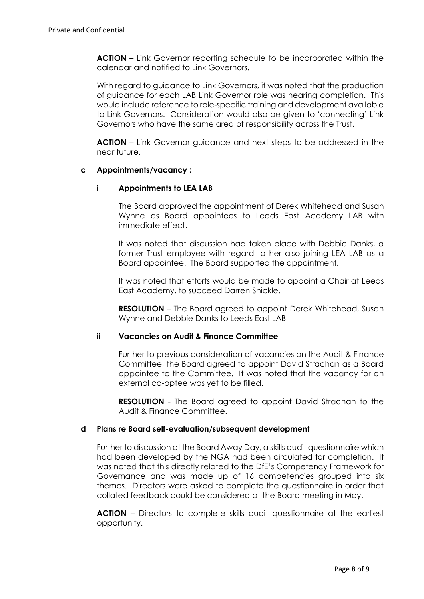**ACTION** – Link Governor reporting schedule to be incorporated within the calendar and notified to Link Governors.

With regard to guidance to Link Governors, it was noted that the production of guidance for each LAB Link Governor role was nearing completion. This would include reference to role-specific training and development available to Link Governors. Consideration would also be given to 'connecting' Link Governors who have the same area of responsibility across the Trust.

**ACTION** – Link Governor guidance and next steps to be addressed in the near future.

# **c Appointments/vacancy :**

# **i Appointments to LEA LAB**

The Board approved the appointment of Derek Whitehead and Susan Wynne as Board appointees to Leeds East Academy LAB with immediate effect.

It was noted that discussion had taken place with Debbie Danks, a former Trust employee with regard to her also joining LEA LAB as a Board appointee. The Board supported the appointment.

It was noted that efforts would be made to appoint a Chair at Leeds East Academy, to succeed Darren Shickle.

**RESOLUTION** – The Board agreed to appoint Derek Whitehead, Susan Wynne and Debbie Danks to Leeds East LAB

### **ii Vacancies on Audit & Finance Committee**

Further to previous consideration of vacancies on the Audit & Finance Committee, the Board agreed to appoint David Strachan as a Board appointee to the Committee. It was noted that the vacancy for an external co-optee was yet to be filled.

**RESOLUTION** - The Board agreed to appoint David Strachan to the Audit & Finance Committee.

### **d Plans re Board self-evaluation/subsequent development**

Further to discussion at the Board Away Day, a skills audit questionnaire which had been developed by the NGA had been circulated for completion. It was noted that this directly related to the DfE's Competency Framework for Governance and was made up of 16 competencies grouped into six themes. Directors were asked to complete the questionnaire in order that collated feedback could be considered at the Board meeting in May.

**ACTION** – Directors to complete skills audit questionnaire at the earliest opportunity.